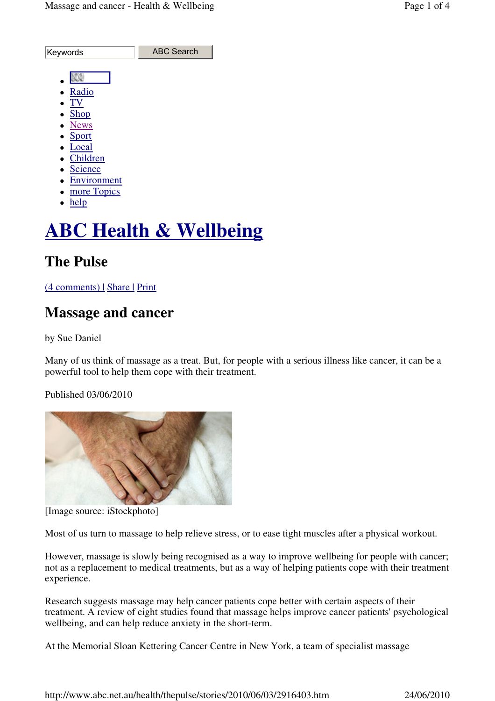| Keywords       | <b>ABC Search</b> |
|----------------|-------------------|
|                |                   |
|                |                   |
| Radio          |                   |
| TV             |                   |
| $\bullet$ Shop |                   |
| • News         |                   |
| • Sport        |                   |
| • Local        |                   |
| Children       |                   |
| · Science      |                   |
| • Environment  |                   |
| more Topics    |                   |
| $h$ eln        |                   |

 $\bullet$  help

# **ABC Health & Wellbeing**

# **The Pulse**

### (4 comments) | Share | Print

## **Massage and cancer**

by Sue Daniel

Many of us think of massage as a treat. But, for people with a serious illness like cancer, it can be a powerful tool to help them cope with their treatment.

Published 03/06/2010



[Image source: iStockphoto]

Most of us turn to massage to help relieve stress, or to ease tight muscles after a physical workout.

However, massage is slowly being recognised as a way to improve wellbeing for people with cancer; not as a replacement to medical treatments, but as a way of helping patients cope with their treatment experience.

Research suggests massage may help cancer patients cope better with certain aspects of their treatment. A review of eight studies found that massage helps improve cancer patients' psychological wellbeing, and can help reduce anxiety in the short-term.

At the Memorial Sloan Kettering Cancer Centre in New York, a team of specialist massage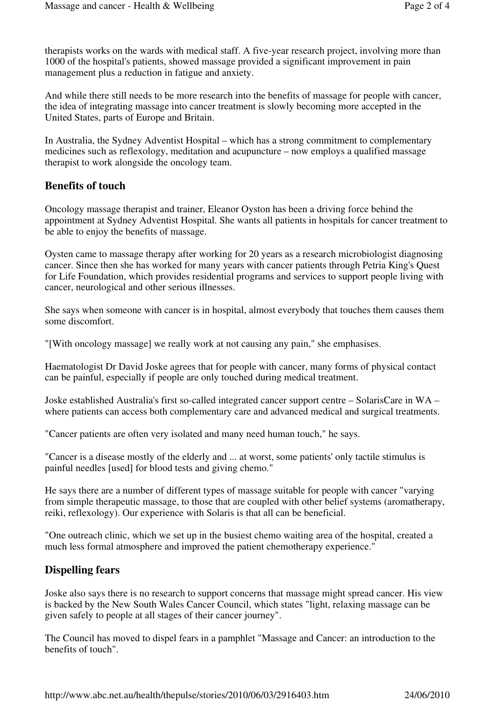therapists works on the wards with medical staff. A five-year research project, involving more than 1000 of the hospital's patients, showed massage provided a significant improvement in pain management plus a reduction in fatigue and anxiety.

And while there still needs to be more research into the benefits of massage for people with cancer, the idea of integrating massage into cancer treatment is slowly becoming more accepted in the United States, parts of Europe and Britain.

In Australia, the Sydney Adventist Hospital – which has a strong commitment to complementary medicines such as reflexology, meditation and acupuncture – now employs a qualified massage therapist to work alongside the oncology team.

### **Benefits of touch**

Oncology massage therapist and trainer, Eleanor Oyston has been a driving force behind the appointment at Sydney Adventist Hospital. She wants all patients in hospitals for cancer treatment to be able to enjoy the benefits of massage.

Oysten came to massage therapy after working for 20 years as a research microbiologist diagnosing cancer. Since then she has worked for many years with cancer patients through Petria King's Quest for Life Foundation, which provides residential programs and services to support people living with cancer, neurological and other serious illnesses.

She says when someone with cancer is in hospital, almost everybody that touches them causes them some discomfort.

"[With oncology massage] we really work at not causing any pain," she emphasises.

Haematologist Dr David Joske agrees that for people with cancer, many forms of physical contact can be painful, especially if people are only touched during medical treatment.

Joske established Australia's first so-called integrated cancer support centre – SolarisCare in WA – where patients can access both complementary care and advanced medical and surgical treatments.

"Cancer patients are often very isolated and many need human touch," he says.

"Cancer is a disease mostly of the elderly and ... at worst, some patients' only tactile stimulus is painful needles [used] for blood tests and giving chemo."

He says there are a number of different types of massage suitable for people with cancer "varying from simple therapeutic massage, to those that are coupled with other belief systems (aromatherapy, reiki, reflexology). Our experience with Solaris is that all can be beneficial.

"One outreach clinic, which we set up in the busiest chemo waiting area of the hospital, created a much less formal atmosphere and improved the patient chemotherapy experience."

### **Dispelling fears**

Joske also says there is no research to support concerns that massage might spread cancer. His view is backed by the New South Wales Cancer Council, which states "light, relaxing massage can be given safely to people at all stages of their cancer journey".

The Council has moved to dispel fears in a pamphlet "Massage and Cancer: an introduction to the benefits of touch".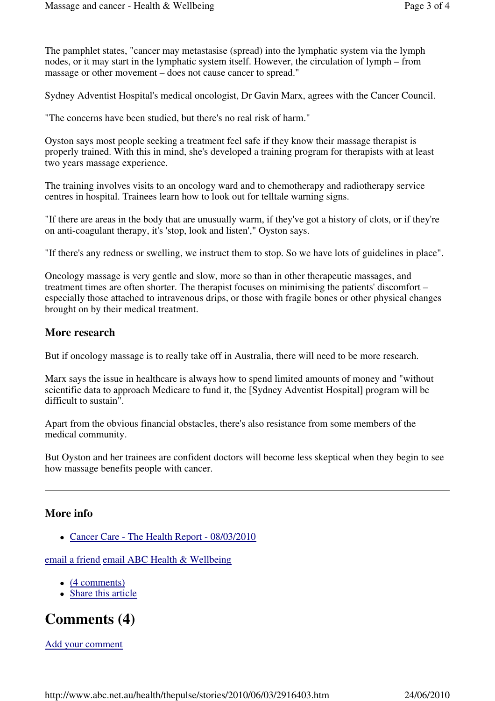The pamphlet states, "cancer may metastasise (spread) into the lymphatic system via the lymph nodes, or it may start in the lymphatic system itself. However, the circulation of lymph – from massage or other movement – does not cause cancer to spread."

Sydney Adventist Hospital's medical oncologist, Dr Gavin Marx, agrees with the Cancer Council.

"The concerns have been studied, but there's no real risk of harm."

Oyston says most people seeking a treatment feel safe if they know their massage therapist is properly trained. With this in mind, she's developed a training program for therapists with at least two years massage experience.

The training involves visits to an oncology ward and to chemotherapy and radiotherapy service centres in hospital. Trainees learn how to look out for telltale warning signs.

"If there are areas in the body that are unusually warm, if they've got a history of clots, or if they're on anti-coagulant therapy, it's 'stop, look and listen'," Oyston says.

"If there's any redness or swelling, we instruct them to stop. So we have lots of guidelines in place".

Oncology massage is very gentle and slow, more so than in other therapeutic massages, and treatment times are often shorter. The therapist focuses on minimising the patients' discomfort – especially those attached to intravenous drips, or those with fragile bones or other physical changes brought on by their medical treatment.

### **More research**

But if oncology massage is to really take off in Australia, there will need to be more research.

Marx says the issue in healthcare is always how to spend limited amounts of money and "without scientific data to approach Medicare to fund it, the [Sydney Adventist Hospital] program will be difficult to sustain".

Apart from the obvious financial obstacles, there's also resistance from some members of the medical community.

But Oyston and her trainees are confident doctors will become less skeptical when they begin to see how massage benefits people with cancer.

### **More info**

• Cancer Care - The Health Report - 08/03/2010

email a friend email ABC Health & Wellbeing

- $\bullet$  (4 comments)
- Share this article

# **Comments (4)**

Add your comment